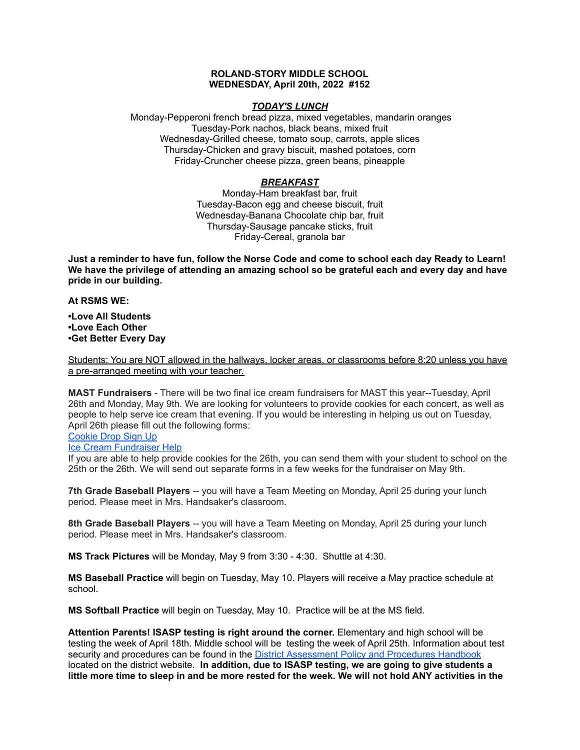### **ROLAND-STORY MIDDLE SCHOOL WEDNESDAY, April 20th, 2022 #152**

### *TODAY'S LUNCH*

Monday-Pepperoni french bread pizza, mixed vegetables, mandarin oranges Tuesday-Pork nachos, black beans, mixed fruit Wednesday-Grilled cheese, tomato soup, carrots, apple slices Thursday-Chicken and gravy biscuit, mashed potatoes, corn Friday-Cruncher cheese pizza, green beans, pineapple

## *BREAKFAST*

Monday-Ham breakfast bar, fruit Tuesday-Bacon egg and cheese biscuit, fruit Wednesday-Banana Chocolate chip bar, fruit Thursday-Sausage pancake sticks, fruit Friday-Cereal, granola bar

Just a reminder to have fun, follow the Norse Code and come to school each day Ready to Learn! **We have the privilege of attending an amazing school so be grateful each and every day and have pride in our building.**

**At RSMS WE:**

**•Love All Students •Love Each Other •Get Better Every Day**

Students: You are NOT allowed in the hallways, locker areas, or classrooms before 8:20 unless you have a pre-arranged meeting with your teacher.

**MAST Fundraisers** - There will be two final ice cream fundraisers for MAST this year--Tuesday, April 26th and Monday, May 9th. We are looking for volunteers to provide cookies for each concert, as well as people to help serve ice cream that evening. If you would be interesting in helping us out on Tuesday, April 26th please fill out the following forms:

[Cookie](https://www.signupgenius.com/go/4090c45acac2ba31-rsmast2) Drop Sign Up

#### Ice Cream [Fundraiser](https://www.signupgenius.com/go/4090c45acac2ba31-rsmast3) Help

If you are able to help provide cookies for the 26th, you can send them with your student to school on the 25th or the 26th. We will send out separate forms in a few weeks for the fundraiser on May 9th.

**7th Grade Baseball Players** -- you will have a Team Meeting on Monday, April 25 during your lunch period. Please meet in Mrs. Handsaker's classroom.

**8th Grade Baseball Players** -- you will have a Team Meeting on Monday, April 25 during your lunch period. Please meet in Mrs. Handsaker's classroom.

**MS Track Pictures** will be Monday, May 9 from 3:30 - 4:30. Shuttle at 4:30.

**MS Baseball Practice** will begin on Tuesday, May 10. Players will receive a May practice schedule at school.

**MS Softball Practice** will begin on Tuesday, May 10. Practice will be at the MS field.

**Attention Parents! ISASP testing is right around the corner.** Elementary and high school will be testing the week of April 18th. Middle school will be testing the week of April 25th. Information about test security and procedures can be found in the District [Assessment](https://rolandstory.school/media/Michelle%20Soderstrum/RSCSD_District_Assessment_Poli%20-%20Copy%203.pdf) Policy and Procedures Handbook located on the district website. **In addition, due to ISASP testing, we are going to give students a** little more time to sleep in and be more rested for the week. We will not hold ANY activities in the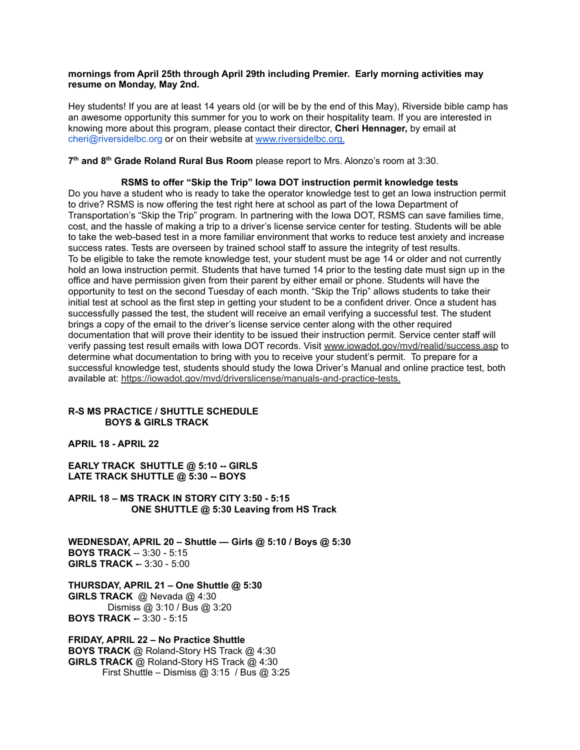#### **mornings from April 25th through April 29th including Premier. Early morning activities may resume on Monday, May 2nd.**

Hey students! If you are at least 14 years old (or will be by the end of this May), Riverside bible camp has an awesome opportunity this summer for you to work on their hospitality team. If you are interested in knowing more about this program, please contact their director, **Cheri Hennager,** by email at cheri@riversidelbc.org or on their website at [www.riversidelbc.org.](http://www.riversidelbc.org/)

**7 th and 8 th Grade Roland Rural Bus Room** please report to Mrs. Alonzo's room at 3:30.

#### **RSMS to offer "Skip the Trip" Iowa DOT instruction permit knowledge tests**

Do you have a student who is ready to take the operator knowledge test to get an Iowa instruction permit to drive? RSMS is now offering the test right here at school as part of the Iowa Department of Transportation's "Skip the Trip" program. In partnering with the Iowa DOT, RSMS can save families time, cost, and the hassle of making a trip to a driver's license service center for testing. Students will be able to take the web-based test in a more familiar environment that works to reduce test anxiety and increase success rates. Tests are overseen by trained school staff to assure the integrity of test results. To be eligible to take the remote knowledge test, your student must be age 14 or older and not currently hold an Iowa instruction permit. Students that have turned 14 prior to the testing date must sign up in the office and have permission given from their parent by either email or phone. Students will have the opportunity to test on the second Tuesday of each month. "Skip the Trip" allows students to take their initial test at school as the first step in getting your student to be a confident driver. Once a student has successfully passed the test, the student will receive an email verifying a successful test. The student brings a copy of the email to the driver's license service center along with the other required documentation that will prove their identity to be issued their instruction permit. Service center staff will verify passing test result emails with Iowa DOT records. Visit [www.iowadot.gov/mvd/realid/success.asp](http://www.iowadot.gov/mvd/realid/success.asp) to determine what documentation to bring with you to receive your student's permit. To prepare for a successful knowledge test, students should study the Iowa Driver's Manual and online practice test, both available at: <https://iowadot.gov/mvd/driverslicense/manuals-and-practice-tests>.

## **R-S MS PRACTICE / SHUTTLE SCHEDULE BOYS & GIRLS TRACK**

# **APRIL 18 - APRIL 22**

**EARLY TRACK SHUTTLE @ 5:10 -- GIRLS LATE TRACK SHUTTLE @ 5:30 -- BOYS**

**APRIL 18 – MS TRACK IN STORY CITY 3:50 - 5:15 ONE SHUTTLE @ 5:30 Leaving from HS Track**

**WEDNESDAY, APRIL 20 – Shuttle — Girls @ 5:10 / Boys @ 5:30 BOYS TRACK** -- 3:30 - 5:15 **GIRLS TRACK -**- 3:30 - 5:00

**THURSDAY, APRIL 21 – One Shuttle @ 5:30 GIRLS TRACK** @ Nevada @ 4:30 Dismiss @ 3:10 / Bus @ 3:20 **BOYS TRACK -**- 3:30 - 5:15

**FRIDAY, APRIL 22 – No Practice Shuttle BOYS TRACK** @ Roland-Story HS Track @ 4:30 **GIRLS TRACK** @ Roland-Story HS Track @ 4:30 First Shuttle – Dismiss  $@3:15$  / Bus  $@3:25$